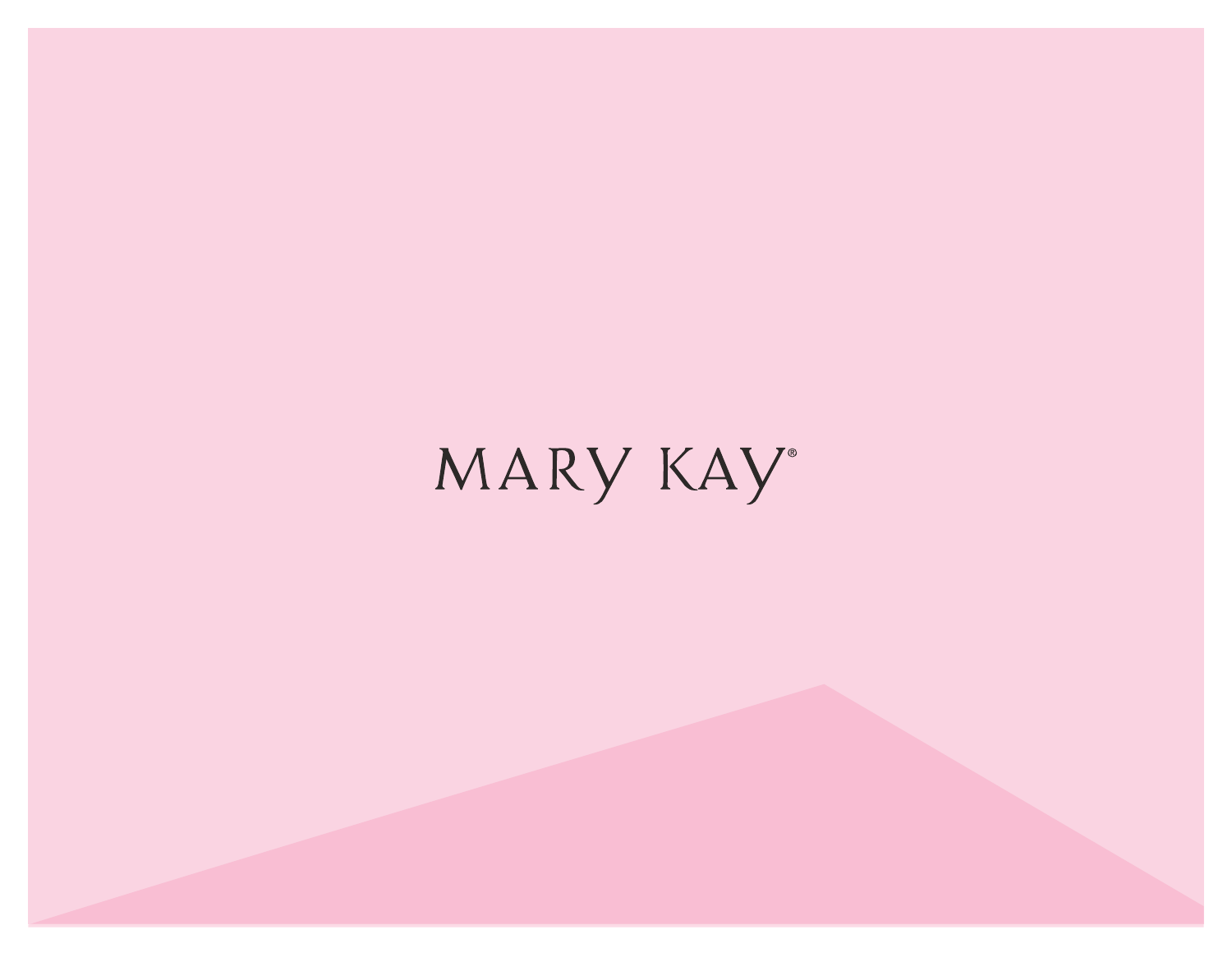## MARY KAY®